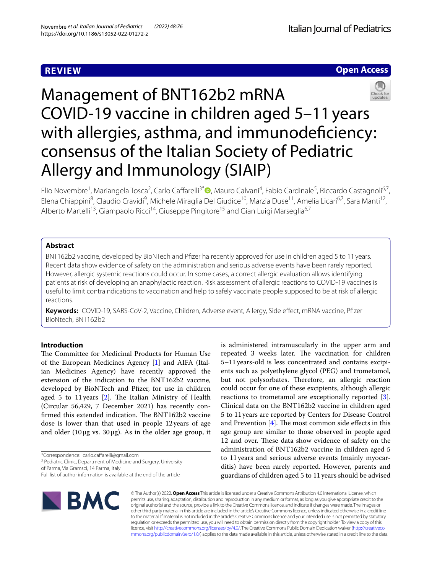# **REVIEW**

**Open Access**

# Management of BNT162b2 mRNA COVID-19 vaccine in children aged 5–11years with allergies, asthma, and immunodeficiency: consensus of the Italian Society of Pediatric Allergy and Immunology (SIAIP)

Elio Novembre<sup>1</sup>[,](http://orcid.org/0000-0001-7710-6995) Mariangela Tosca<sup>2</sup>, Carlo Caffarelli<sup>3\*</sup> (D, Mauro Calvani<sup>4</sup>, Fabio Cardinale<sup>5</sup>, Riccardo Castagnoli<sup>6,7</sup>, Elena Chiappini<sup>8</sup>, Claudio Cravidi<sup>9</sup>, Michele Miraglia Del Giudice<sup>10</sup>, Marzia Duse<sup>11</sup>, Amelia Licari<sup>6,7</sup>, Sara Manti<sup>12</sup>, Alberto Martelli<sup>13</sup>, Giampaolo Ricci<sup>14</sup>, Giuseppe Pingitore<sup>15</sup> and Gian Luigi Marseglia<sup>6,7</sup>

# **Abstract**

BNT162b2 vaccine, developed by BioNTech and Pfzer ha recently approved for use in children aged 5 to 11 years. Recent data show evidence of safety on the administration and serious adverse events have been rarely reported. However, allergic systemic reactions could occur. In some cases, a correct allergic evaluation allows identifying patients at risk of developing an anaphylactic reaction. Risk assessment of allergic reactions to COVID-19 vaccines is useful to limit contraindications to vaccination and help to safely vaccinate people supposed to be at risk of allergic reactions.

**Keywords:** COVID-19, SARS-CoV-2, Vaccine, Children, Adverse event, Allergy, Side efect, mRNA vaccine, Pfzer BioNtech, BNT162b2

# **Introduction**

The Committee for Medicinal Products for Human Use of the European Medicines Agency [\[1](#page-4-0)] and AIFA (Italian Medicines Agency) have recently approved the extension of the indication to the BNT162b2 vaccine, developed by BioNTech and Pfzer, for use in children aged 5 to 11 years  $[2]$  $[2]$ . The Italian Ministry of Health (Circular 56,429, 7 December 2021) has recently confirmed this extended indication. The BNT162b2 vaccine dose is lower than that used in people 12years of age and older (10  $\mu$ g vs. 30  $\mu$ g). As in the older age group, it

\*Correspondence: carlo.cafarelli@gmail.com

<sup>3</sup> Pediatric Clinic, Department of Medicine and Surgery, University

of Parma, Via Gramsci, 14 Parma, Italy Full list of author information is available at the end of the article



is administered intramuscularly in the upper arm and repeated 3 weeks later. The vaccination for children 5–11years-old is less concentrated and contains excipients such as polyethylene glycol (PEG) and trometamol, but not polysorbates. Therefore, an allergic reaction could occur for one of these excipients, although allergic reactions to trometamol are exceptionally reported [\[3](#page-4-2)]. Clinical data on the BNT162b2 vaccine in children aged 5 to 11years are reported by Centers for Disease Control and Prevention  $[4]$  $[4]$ . The most common side effects in this age group are similar to those observed in people aged 12 and over. These data show evidence of safety on the administration of BNT162b2 vaccine in children aged 5 to 11years and serious adverse events (mainly myocarditis) have been rarely reported. However, parents and guardians of children aged 5 to 11 years should be advised

© The Author(s) 2022. **Open Access** This article is licensed under a Creative Commons Attribution 4.0 International License, which permits use, sharing, adaptation, distribution and reproduction in any medium or format, as long as you give appropriate credit to the original author(s) and the source, provide a link to the Creative Commons licence, and indicate if changes were made. The images or other third party material in this article are included in the article's Creative Commons licence, unless indicated otherwise in a credit line to the material. If material is not included in the article's Creative Commons licence and your intended use is not permitted by statutory regulation or exceeds the permitted use, you will need to obtain permission directly from the copyright holder. To view a copy of this licence, visit [http://creativecommons.org/licenses/by/4.0/.](http://creativecommons.org/licenses/by/4.0/) The Creative Commons Public Domain Dedication waiver ([http://creativeco](http://creativecommons.org/publicdomain/zero/1.0/) [mmons.org/publicdomain/zero/1.0/](http://creativecommons.org/publicdomain/zero/1.0/)) applies to the data made available in this article, unless otherwise stated in a credit line to the data.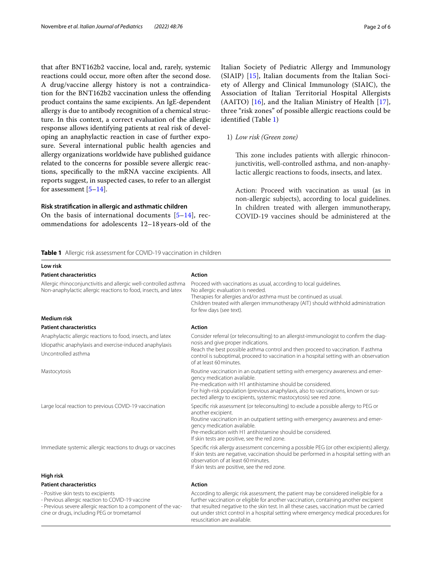that after BNT162b2 vaccine, local and, rarely, systemic reactions could occur, more often after the second dose. A drug/vaccine allergy history is not a contraindication for the BNT162b2 vaccination unless the ofending product contains the same excipients. An IgE-dependent allergy is due to antibody recognition of a chemical structure. In this context, a correct evaluation of the allergic response allows identifying patients at real risk of developing an anaphylactic reaction in case of further exposure. Several international public health agencies and allergy organizations worldwide have published guidance related to the concerns for possible severe allergic reactions, specifcally to the mRNA vaccine excipients. All reports suggest, in suspected cases, to refer to an allergist for assessment  $[5-14]$  $[5-14]$ .

# **Risk stratifcation in allergic and asthmatic children**

**Low risk**

On the basis of international documents  $[5-14]$  $[5-14]$  $[5-14]$ , recommendations for adolescents 12–18 years-old of the Italian Society of Pediatric Allergy and Immunology (SIAIP) [[15\]](#page-4-6), Italian documents from the Italian Society of Allergy and Clinical Immunology (SIAIC), the Association of Italian Territorial Hospital Allergists (AAITO) [\[16](#page-4-7)], and the Italian Ministry of Health [[17](#page-4-8)], three "risk zones" of possible allergic reactions could be identifed (Table [1](#page-1-0))

# 1) *Low risk (Green zone)*

This zone includes patients with allergic rhinoconjunctivitis, well-controlled asthma, and non-anaphylactic allergic reactions to foods, insects, and latex.

Action: Proceed with vaccination as usual (as in non-allergic subjects), according to local guidelines. In children treated with allergen immunotherapy, COVID-19 vaccines should be administered at the

<span id="page-1-0"></span>**Table 1** Allergic risk assessment for COVID-19 vaccination in children

| <b>Patient characteristics</b>                                                                                                                | <b>Action</b>                                                                                                                                                                                                                                                                                                                               |
|-----------------------------------------------------------------------------------------------------------------------------------------------|---------------------------------------------------------------------------------------------------------------------------------------------------------------------------------------------------------------------------------------------------------------------------------------------------------------------------------------------|
| Allergic rhinoconjunctivitis and allergic well-controlled asthma<br>Non-anaphylactic allergic reactions to food, insects, and latex           | Proceed with vaccinations as usual, according to local quidelines.<br>No allergic evaluation is needed.<br>Therapies for allergies and/or asthma must be continued as usual.<br>Children treated with allergen immunotherapy (AIT) should withhold administration<br>for few days (see text).                                               |
| <b>Medium risk</b>                                                                                                                            |                                                                                                                                                                                                                                                                                                                                             |
| <b>Patient characteristics</b>                                                                                                                | <b>Action</b>                                                                                                                                                                                                                                                                                                                               |
| Anaphylactic allergic reactions to food, insects, and latex<br>Idiopathic anaphylaxis and exercise-induced anaphylaxis<br>Uncontrolled asthma | Consider referral (or teleconsulting) to an allergist-immunologist to confirm the diag-<br>nosis and give proper indications.<br>Reach the best possible asthma control and then proceed to vaccination. If asthma<br>control is suboptimal, proceed to vaccination in a hospital setting with an observation<br>of at least 60 minutes.    |
| Mastocytosis                                                                                                                                  | Routine vaccination in an outpatient setting with emergency awareness and emer-<br>gency medication available.<br>Pre-medication with H1 antihistamine should be considered.<br>For high-risk population (previous anaphylaxis, also to vaccinations, known or sus-<br>pected allergy to excipients, systemic mastocytosis) see red zone.   |
| Large local reaction to previous COVID-19 vaccination                                                                                         | Specific risk assessment (or teleconsulting) to exclude a possible allergy to PEG or<br>another excipient.<br>Routine vaccination in an outpatient setting with emergency awareness and emer-<br>gency medication available.<br>Pre-medication with H1 antihistamine should be considered.<br>If skin tests are positive, see the red zone. |
| Immediate systemic allergic reactions to drugs or vaccines                                                                                    | Specific risk allergy assessment concerning a possible PEG (or other excipients) allergy.<br>If skin tests are negative, vaccination should be performed in a hospital setting with an<br>observation of at least 60 minutes.<br>If skin tests are positive, see the red zone.                                                              |
| High risk                                                                                                                                     |                                                                                                                                                                                                                                                                                                                                             |
| <b>Patient characteristics</b>                                                                                                                | <b>Action</b>                                                                                                                                                                                                                                                                                                                               |
| - Positive skin tests to excipients<br>Drawiana allarata regation to $CONID$ 10 meadow                                                        | According to allergic risk assessment, the patient may be considered ineligible for a<br>وسمائه المراجع والمساوية والمستوا والموسوم والمستحدث والمستحدث والمستعدد والمائسا المرابيب والمستحد والمستحدث والمسافر                                                                                                                             |

- Previous allergic reaction to COVID-19 vaccine - Previous severe allergic reaction to a component of the vaccine or drugs, including PEG or trometamol

further vaccination or eligible for another vaccination, containing another excipient that resulted negative to the skin test. In all these cases, vaccination must be carried out under strict control in a hospital setting where emergency medical procedures for resuscitation are available.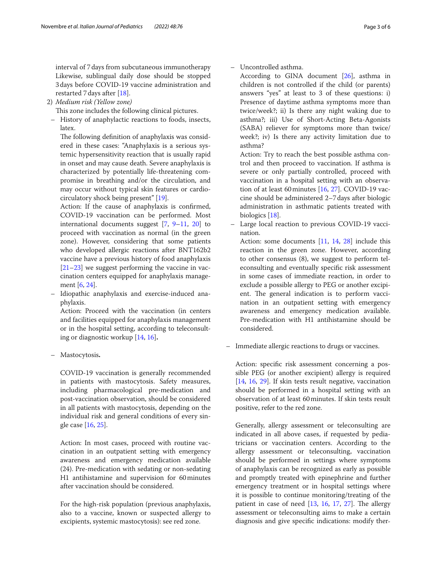interval of 7days from subcutaneous immunotherapy Likewise, sublingual daily dose should be stopped 3days before COVID-19 vaccine administration and restarted 7days after [[18\]](#page-4-9).

2) *Medium risk (Yellow zone)*

This zone includes the following clinical pictures.

– History of anaphylactic reactions to foods, insects, latex.

The following definition of anaphylaxis was considered in these cases: "Anaphylaxis is a serious systemic hypersensitivity reaction that is usually rapid in onset and may cause death. Severe anaphylaxis is characterized by potentially life-threatening compromise in breathing and/or the circulation, and may occur without typical skin features or cardiocirculatory shock being present" [[19](#page-4-10)].

Action: If the cause of anaphylaxis is confrmed, COVID-19 vaccination can be performed. Most international documents suggest [\[7,](#page-4-11) [9–](#page-4-12)[11](#page-4-13), [20\]](#page-4-14) to proceed with vaccination as normal (in the green zone). However, considering that some patients who developed allergic reactions after BNT162b2 vaccine have a previous history of food anaphylaxis [\[21–](#page-4-15)[23](#page-5-0)] we suggest performing the vaccine in vaccination centers equipped for anaphylaxis management [[6](#page-4-16), [24](#page-5-1)].

– Idiopathic anaphylaxis and exercise-induced anaphylaxis.

Action: Proceed with the vaccination (in centers and facilities equipped for anaphylaxis management or in the hospital setting, according to teleconsulting or diagnostic workup [[14](#page-4-5), [16\]](#page-4-7)**.**

– Mastocytosis**.**

COVID-19 vaccination is generally recommended in patients with mastocytosis. Safety measures, including pharmacological pre-medication and post-vaccination observation, should be considered in all patients with mastocytosis, depending on the individual risk and general conditions of every single case [\[16](#page-4-7), [25](#page-5-2)].

Action: In most cases, proceed with routine vaccination in an outpatient setting with emergency awareness and emergency medication available (24). Pre-medication with sedating or non-sedating H1 antihistamine and supervision for 60minutes after vaccination should be considered.

For the high-risk population (previous anaphylaxis, also to a vaccine, known or suspected allergy to excipients, systemic mastocytosis): see red zone.

According to GINA document [\[26](#page-5-3)], asthma in children is not controlled if the child (or parents) answers "yes" at least to 3 of these questions: i) Presence of daytime asthma symptoms more than twice/week?; ii) Is there any night waking due to asthma?; iii) Use of Short-Acting Beta-Agonists (SABA) reliever for symptoms more than twice/ week?; iv) Is there any activity limitation due to asthma?

Action: Try to reach the best possible asthma control and then proceed to vaccination. If asthma is severe or only partially controlled, proceed with vaccination in a hospital setting with an observation of at least 60minutes [[16](#page-4-7), [27\]](#page-5-4). COVID-19 vaccine should be administered 2–7days after biologic administration in asthmatic patients treated with biologics [\[18\]](#page-4-9).

– Large local reaction to previous COVID-19 vaccination.

Action: some documents [\[11,](#page-4-13) [14](#page-4-5), [28](#page-5-5)] include this reaction in the green zone. However, according to other consensus (8), we suggest to perform teleconsulting and eventually specifc risk assessment in some cases of immediate reaction, in order to exclude a possible allergy to PEG or another excipient. The general indication is to perform vaccination in an outpatient setting with emergency awareness and emergency medication available. Pre-medication with H1 antihistamine should be considered.

– Immediate allergic reactions to drugs or vaccines.

Action: specifc risk assessment concerning a possible PEG (or another excipient) allergy is required [[14,](#page-4-5) [16,](#page-4-7) [29\]](#page-5-6). If skin tests result negative, vaccination should be performed in a hospital setting with an observation of at least 60minutes. If skin tests result positive, refer to the red zone.

Generally, allergy assessment or teleconsulting are indicated in all above cases, if requested by pediatricians or vaccination centers. According to the allergy assessment or teleconsulting, vaccination should be performed in settings where symptoms of anaphylaxis can be recognized as early as possible and promptly treated with epinephrine and further emergency treatment or in hospital settings where it is possible to continue monitoring/treating of the patient in case of need  $[13, 16, 17, 27]$  $[13, 16, 17, 27]$  $[13, 16, 17, 27]$  $[13, 16, 17, 27]$  $[13, 16, 17, 27]$  $[13, 16, 17, 27]$  $[13, 16, 17, 27]$  $[13, 16, 17, 27]$ . The allergy assessment or teleconsulting aims to make a certain diagnosis and give specifc indications: modify ther-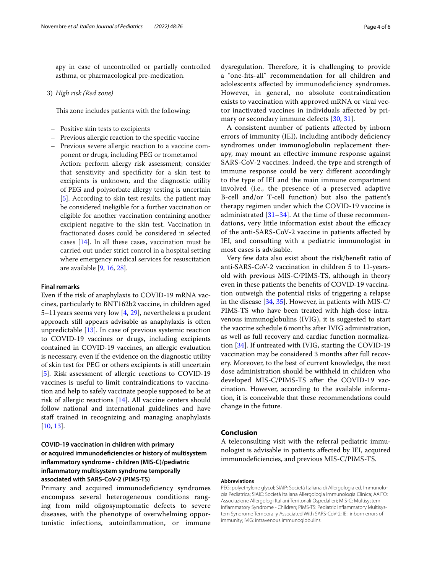apy in case of uncontrolled or partially controlled asthma, or pharmacological pre-medication.

# 3) *High risk (Red zone)*

This zone includes patients with the following:

- Positive skin tests to excipients
- Previous allergic reaction to the specifc vaccine
- Previous severe allergic reaction to a vaccine component or drugs, including PEG or trometamol Action: perform allergy risk assessment; consider that sensitivity and specifcity for a skin test to excipients is unknown, and the diagnostic utility of PEG and polysorbate allergy testing is uncertain [\[5](#page-4-4)]. According to skin test results, the patient may be considered ineligible for a further vaccination or eligible for another vaccination containing another excipient negative to the skin test. Vaccination in fractionated doses could be considered in selected cases [[14\]](#page-4-5). In all these cases, vaccination must be carried out under strict control in a hospital setting where emergency medical services for resuscitation are available [[9](#page-4-12), [16,](#page-4-7) [28\]](#page-5-5).

## **Final remarks**

Even if the risk of anaphylaxis to COVID-19 mRNA vaccines, particularly to BNT162b2 vaccine, in children aged 5–11years seems very low [\[4](#page-4-3), [29\]](#page-5-6), nevertheless a prudent approach still appears advisable as anaphylaxis is often unpredictable [\[13](#page-4-17)]. In case of previous systemic reaction to COVID-19 vaccines or drugs, including excipients contained in COVID-19 vaccines, an allergic evaluation is necessary, even if the evidence on the diagnostic utility of skin test for PEG or others excipients is still uncertain [[5\]](#page-4-4). Risk assessment of allergic reactions to COVID-19 vaccines is useful to limit contraindications to vaccination and help to safely vaccinate people supposed to be at risk of allergic reactions [\[14\]](#page-4-5). All vaccine centers should follow national and international guidelines and have staff trained in recognizing and managing anaphylaxis [[10,](#page-4-18) [13](#page-4-17)].

# **COVID‑19 vaccination in children with primary or acquired immunodefciencies or history of multisystem infammatory syndrome ‑ children (MIS‑C)/pediatric infammatory multisystem syndrome temporally associated with SARS‑CoV‑2 (PIMS‑TS)**

Primary and acquired immunodeficiency syndromes encompass several heterogeneous conditions ranging from mild oligosymptomatic defects to severe diseases, with the phenotype of overwhelming opportunistic infections, autoinfammation, or immune

dysregulation. Therefore, it is challenging to provide a "one-fts-all" recommendation for all children and adolescents affected by immunodeficiency syndromes. However, in general, no absolute contraindication exists to vaccination with approved mRNA or viral vector inactivated vaccines in individuals afected by primary or secondary immune defects [[30](#page-5-7), [31](#page-5-8)].

A consistent number of patients afected by inborn errors of immunity (IEI), including antibody defciency syndromes under immunoglobulin replacement therapy, may mount an efective immune response against SARS-CoV-2 vaccines. Indeed, the type and strength of immune response could be very diferent accordingly to the type of IEI and the main immune compartment involved (i.e., the presence of a preserved adaptive B-cell and/or T-cell function) but also the patient's therapy regimen under which the COVID-19 vaccine is administrated [\[31](#page-5-8)–[34\]](#page-5-9). At the time of these recommendations, very little information exist about the efficacy of the anti-SARS-CoV-2 vaccine in patients afected by IEI, and consulting with a pediatric immunologist in most cases is advisable.

Very few data also exist about the risk/beneft ratio of anti-SARS-CoV-2 vaccination in children 5 to 11-yearsold with previous MIS-C/PIMS-TS, although in theory even in these patients the benefts of COVID-19 vaccination outweigh the potential risks of triggering a relapse in the disease [\[34](#page-5-9), [35\]](#page-5-10). However, in patients with MIS-C/ PIMS-TS who have been treated with high-dose intravenous immunoglobulins (IVIG), it is suggested to start the vaccine schedule 6months after IVIG administration, as well as full recovery and cardiac function normalization [\[34\]](#page-5-9). If untreated with IVIG, starting the COVID-19 vaccination may be considered 3 months after full recovery. Moreover, to the best of current knowledge, the next dose administration should be withheld in children who developed MIS-C/PIMS-TS after the COVID-19 vaccination. However, according to the available information, it is conceivable that these recommendations could change in the future.

# **Conclusion**

A teleconsulting visit with the referral pediatric immunologist is advisable in patients afected by IEI, acquired immunodefciencies, and previous MIS-C/PIMS-TS.

## **Abbreviations**

PEG: polyethylene glycol; SIAIP: Società Italiana di Allergologia ed. Immunologia Pediatrica; SIAIC: Società Italiana Allergologia Immunologia Clinica; AAITO: Associazione Allergologi Italiani Territoriali Ospedalieri; MIS-C: Multisystem Infammatory Syndrome - Children; PIMS-TS: Pediatric Infammatory Multisystem Syndrome Temporally Associated With SARS-CoV-2; IEI: inborn errors of immunity; IVIG: intravenous immunoglobulins.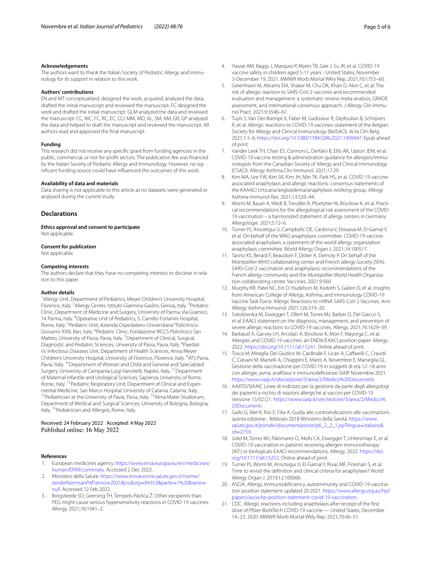The authors want to thank the Italian Society of Pediatric Allergy and Immunology for its support in relation to this work.

#### **Authors' contributions**

EN and MT conceptualized, designed the work, acquired, analyzed the data, drafted the initial manuscript and reviewed the manuscript. FC designed the work and drafted the initial manuscript. GLM analyzed the data and reviewed the manuscript. CC, MC, FC, RC, EC, CCr MM, MD, AL, SM, AM, GR, GP analyzed the data and helped to draft the manuscript and reviewed the manuscript. All authors read and approved the fnal manuscript.

#### **Funding**

This research did not receive any specifc grant from funding agencies in the public, commercial, or not-for-proft sectors. The publication fee was fnanced by the Italian Society of Pediatric Allergy and Immunology. However, no signifcant funding source could have infuenced the outcomes of this work.

#### **Availability of data and materials**

Data sharing is not applicable to this article as no datasets were generated or analysed during the current study.

## **Declarations**

**Ethics approval and consent to participate** Not applicable.

#### **Consent for publication**

Not applicable.

#### **Competing interests**

The authors declare that they have no competing interests to disclose in relation to this paper.

#### **Author details**

<sup>1</sup> Allergy Unit, Department of Pediatrics, Meyer Children's University Hospital, Florence, Italy. <sup>2</sup> Allergy Center, Istituto Giannina Gaslini, Genoa, Italy. <sup>3</sup> Pediatric Clinic, Department of Medicine and Surgery, University of Parma, Via Gramsci, 14 Parma, Italy. <sup>4</sup> Operative Unit of Pediatrics, S. Camillo-Forlanini Hospital, Rome, Italy. <sup>5</sup> Pediatric Unit, Azienda Ospedaliero-Universitaria "Policlinico-Giovanni XXIII, Bari, Italy. <sup>6</sup> Pediatric Clinic, Fondazione IRCCS Policlinico San Matteo, University of Pavia, Pavia, Italy. <sup>7</sup> Department of Clinical, Surgical, Diagnostic and Pediatric Sciences, University of Pavia, Pavia, Italy. <sup>8</sup>Paediatric Infectious Diseases Unit, Department of Health Sciences, Anna Meyer Children's University Hospital, University of Florence, Florence, Italy. <sup>9</sup>ATS Pavia, Pavia, Italy. <sup>10</sup>Department of Woman and Child and General and Specialized Surgery, University of Campania Luigi Vanvitelli, Naples, Italy. <sup>11</sup> Department of Maternal Infantile and Urological Sciences, Sapienza University of Rome, Rome, Italy. 12Pediatric Respiratory Unit, Department of Clinical and Experimental Medicine, San Marco Hospital, University of Catania, Catania, Italy.<br><sup>13</sup>Pediatrician at the University of Pavia, Pavia, Italy. <sup>14</sup>Alma Mater Studiorum, Department of Medical and Surgical Sciences, University of Bologna, Bologna, Italy. <sup>15</sup> Pediatrician and Allergist, Rome, Italy.

## Received: 24 February 2022 Accepted: 4 May 2022 Published online: 16 May 2022

#### **References**

- <span id="page-4-0"></span>1. European medicines agency. [https://www.ema.europa.eu/en/medicines/](https://www.ema.europa.eu/en/medicines/human/EPAR/comirnaty) [human/EPAR/comirnaty](https://www.ema.europa.eu/en/medicines/human/EPAR/comirnaty). Accessed 2 Dec 2022.
- <span id="page-4-1"></span>2. Ministero della Salute. [https://www.trovanorme.salute.gov.it/norme/](https://www.trovanorme.salute.gov.it/norme/renderNormsanPdf?anno=2021&codLeg=84353&parte=1%20&serie=null) [renderNormsanPdf?anno](https://www.trovanorme.salute.gov.it/norme/renderNormsanPdf?anno=2021&codLeg=84353&parte=1%20&serie=null)=2021&codLeg=84353&parte=1%20&serie= [null.](https://www.trovanorme.salute.gov.it/norme/renderNormsanPdf?anno=2021&codLeg=84353&parte=1%20&serie=null) Accessed 12 Feb 2022.
- <span id="page-4-2"></span>3. Borgsteede SD, Geersing TH, Tempels-Pavlica Ž. Other excipients than PEG might cause serious hypersensitivity reactions in COVID-19 vaccines. Allergy. 2021;76:1941–2.
- <span id="page-4-3"></span>4. Hause AM, Baggs J, Marquez P, Myers TR, Gee J, Su JR, et al. COVID-19 vaccine safety in children aged 5-11 years - United States, November 3-December 19, 2021. MMWR Morb Mortal Wkly Rep. 2021;70:1755–60.
- <span id="page-4-4"></span>5. Greenhawt M, Abrams EM, Shaker M, Chu DK, Khan D, Akin C, et al. The risk of allergic reaction to SARS-CoV-2 vaccines and recommended evaluation and management: a systematic review, meta-analysis, GRADE assessment, and international consensus approach. J Allergy Clin Immunol Pract. 2021;9:3546–67.
- <span id="page-4-16"></span>Tuyls S, Van Der Brempt X, Faber M, Gadisseur R, Dezfoulian B, Schrijvers R, et al. Allergic reactions to COVID-19 vaccines: statement of the Belgian Society for Allergy and Clinical Immunology (BelSACI). Acta Clin Belg. 2021;1:1–6. [https://doi.org/10.1080/17843286.2021.1909447.](https://doi.org/10.1080/17843286.2021.1909447) Epub ahead of print.
- <span id="page-4-11"></span>7. Vander Leek TH, Chan ES, Connors L, Derfalvi B, Ellis AK, Upton JEM, et al. COVID-19 vaccine testing & administration guidance for allergists/immunologists from the Canadian Society of Allergy and Clinical Immunology (CSACI). Allergy Asthma Clin Immunol. 2021;17:29.
- 8. Kim MA, Lee YW, Kim SR, Kim JH, Min TK, Park HS, et al. COVID-19 vaccineassociated anaphylaxis and allergic reactions: consensus statements of the KAAACI Urticaria/angioedema/anaphylaxis working group. Allergy Asthma Immunol Res. 2021;13:526–44.
- <span id="page-4-12"></span>9. Worm M, Bauer A, Wedi B, Treudler R, Pfuetzner W, Brockow K, et al. Practical recommendations for the allergological risk assessment of the COVID-19 vaccination – a harmonized statement of allergy centers in Germany. Allergologie. 2021;5:72–6.
- <span id="page-4-18"></span>10. Turner PJ, Ansotegui IJ, Campbellc DE, Cardona V, Ebisawa M, El-Gamal Y, et al. On behalf of the WAO anaphylaxis committee. COVID-19 vaccineassociated anaphylaxis: a statement of the world allergy organization anaphylaxis committee. World Allergy Organ J. 2021;14:100517.
- <span id="page-4-13"></span>11. Tanno KS, Berard F, Beaudoin F, Didier A, Demoly P. On behalf of the Montpellier WHO collaborating center and French allergy Society (SFA). SARS-CoV-2 vaccination and anaphylaxis: recommendations of the French allergy community and the Montpellier World Health Organization collaborating center. Vaccines. 2021;9:560.
- 12. Murphy KR, Patel NC, Ein D, Hudelson M, Kodoth S, Gailen D, et al. Insights from American College of Allergy, Asthma, and Immunology COVID-19 Vaccine Task Force: Allergic Reactions to mRNA SARS-CoV-2 Vaccines. Ann Allergy Asthma Immunol. 2021;126:319–20.
- <span id="page-4-17"></span>13. Sokolowska M, Eiwegger T, Ollert M, Torres MJ, Barber D, Del Giacco S, et al. EAACI statement on the diagnosis, management, and prevention of severe allergic reactions to COVID-19 vaccines. Allergy. 2021;76:1629–39.
- <span id="page-4-5"></span>14. Barbaud A, Garvey LH, Arcolaci A, Brockow K, Mori F, Mayorga C, et al. Allergies and COVID-19 vaccines: an ENDA/EAACI position paper. Allergy. 2022. <https://doi.org/10.1111/all.15241>. Online ahead of print.
- <span id="page-4-6"></span>15. Tosca M, Miraglia Del Giudice M, Cardinale F, Licari A, Cafarelli C, Cravidi C, Calvani M, Martelli A, Chiappini E, Manti A, Novembre E, Marseglia GL. Gestione della vaccinazione per COVID-19 in soggetti di età 12–18 anni con allergie, asma, anaflassi e immunodefcienze SIAIP Novembre 2021. [https://www.siaip.it/site/sezione/3/area/2/Medico%20Documenti.](https://www.siaip.it/site/sezione/3/area/2/Medico%20Documenti)
- <span id="page-4-7"></span>16. AAIITO/SIAAIC Linee di indirizzo per la gestione da parte degli allergologi dei pazienti a rischio di reazioni allergiche ai vaccini per COVID-19 Versione 15/02/21. [https://www.siaip.it/site/sezione/3/area/2/Medico%](https://www.siaip.it/site/sezione/3/area/2/Medico%20Documenti) [20Documenti.](https://www.siaip.it/site/sezione/3/area/2/Medico%20Documenti)
- <span id="page-4-8"></span>17. Gallo G, Mel R, Ros E, Filia A. Guida alle controindicazioni alle vaccinazioni, quinta edizione - febbraio 2018 Ministero della Sanità. [https://www.](https://www.salute.gov.it/portale/documentazione/p6_2_2_1.jsp?lingua=italiano&id=2759) [salute.gov.it/portale/documentazione/p6\\_2\\_2\\_1.jsp?lingua](https://www.salute.gov.it/portale/documentazione/p6_2_2_1.jsp?lingua=italiano&id=2759)=italiano&  $id = 2759$ .
- <span id="page-4-9"></span>18. Jutel M, Torres MJ, Palomares O, Akdis CA, Eiwegger T, Untersmayr E, et al. COVID-19 vaccination in patients receiving allergen immunotherapy (AIT) or biologicals-EAACI recommendations. Allergy. 2022. [https://doi.](https://doi.org/10.1111/all.15252) [org/10.1111/all.15252.](https://doi.org/10.1111/all.15252) Online ahead of print.
- <span id="page-4-10"></span>19. Turner PJ, Worm M, Ansotegui IJ, El-Gamal Y, Rivas MF, Fineman S, et al. Time to revisit the defnition and clinical criteria for anaphylaxis? World Allergy Organ J. 2019;12:100066.
- <span id="page-4-14"></span>20. ASCIA, Allergy, Immunodefciency, autoimmunity and COVID-19 vaccination position statement updated 20 2021. [https://www.allergy.org.au/hp/](https://www.allergy.org.au/hp/papers/ascia-hp-position-statement-covid-19-vaccination) [papers/ascia-hp-position-statement-covid-19-vaccination.](https://www.allergy.org.au/hp/papers/ascia-hp-position-statement-covid-19-vaccination)
- <span id="page-4-15"></span>21. CDC. Allergic reactions including anaphylaxis after receipt of the frst dose of Pfzer-BioNTech COVID-19 vaccine — United States, December 14–23, 2020. MMWR Morb Mortal Wkly Rep. 2021;70:46–51.